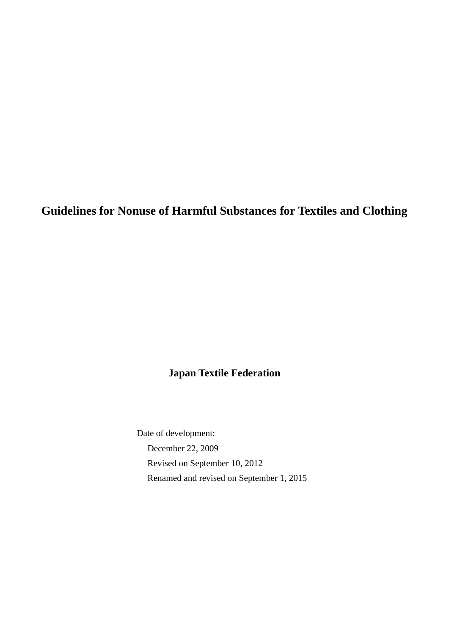**Guidelines for Nonuse of Harmful Substances for Textiles and Clothing**

# **Japan Textile Federation**

Date of development: December 22, 2009 Revised on September 10, 2012 Renamed and revised on September 1, 2015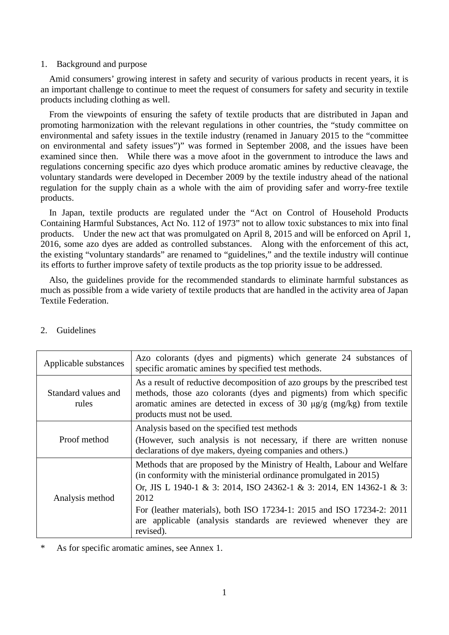#### 1. Background and purpose

Amid consumers' growing interest in safety and security of various products in recent years, it is an important challenge to continue to meet the request of consumers for safety and security in textile products including clothing as well.

From the viewpoints of ensuring the safety of textile products that are distributed in Japan and promoting harmonization with the relevant regulations in other countries, the "study committee on environmental and safety issues in the textile industry (renamed in January 2015 to the "committee on environmental and safety issues")" was formed in September 2008, and the issues have been examined since then. While there was a move afoot in the government to introduce the laws and regulations concerning specific azo dyes which produce aromatic amines by reductive cleavage, the voluntary standards were developed in December 2009 by the textile industry ahead of the national regulation for the supply chain as a whole with the aim of providing safer and worry-free textile products.

In Japan, textile products are regulated under the "Act on Control of Household Products Containing Harmful Substances, Act No. 112 of 1973" not to allow toxic substances to mix into final products. Under the new act that was promulgated on April 8, 2015 and will be enforced on April 1, 2016, some azo dyes are added as controlled substances. Along with the enforcement of this act, the existing "voluntary standards" are renamed to "guidelines," and the textile industry will continue its efforts to further improve safety of textile products as the top priority issue to be addressed.

Also, the guidelines provide for the recommended standards to eliminate harmful substances as much as possible from a wide variety of textile products that are handled in the activity area of Japan Textile Federation.

| Applicable substances        | Azo colorants (dyes and pigments) which generate 24 substances of<br>specific aromatic amines by specified test methods.                                                                                                                                                                                                                                                               |
|------------------------------|----------------------------------------------------------------------------------------------------------------------------------------------------------------------------------------------------------------------------------------------------------------------------------------------------------------------------------------------------------------------------------------|
| Standard values and<br>rules | As a result of reductive decomposition of azo groups by the prescribed test<br>methods, those azo colorants (dyes and pigments) from which specific<br>aromatic amines are detected in excess of 30 $\mu$ g/g (mg/kg) from textile<br>products must not be used.                                                                                                                       |
| Proof method                 | Analysis based on the specified test methods<br>(However, such analysis is not necessary, if there are written nonuse<br>declarations of dye makers, dyeing companies and others.)                                                                                                                                                                                                     |
| Analysis method              | Methods that are proposed by the Ministry of Health, Labour and Welfare<br>(in conformity with the ministerial ordinance promulgated in 2015)<br>Or, JIS L 1940-1 & 3: 2014, ISO 24362-1 & 3: 2014, EN 14362-1 & 3:<br>2012<br>For (leather materials), both ISO 17234-1: 2015 and ISO 17234-2: 2011<br>are applicable (analysis standards are reviewed whenever they are<br>revised). |

# 2. Guidelines

\* As for specific aromatic amines, see Annex 1.